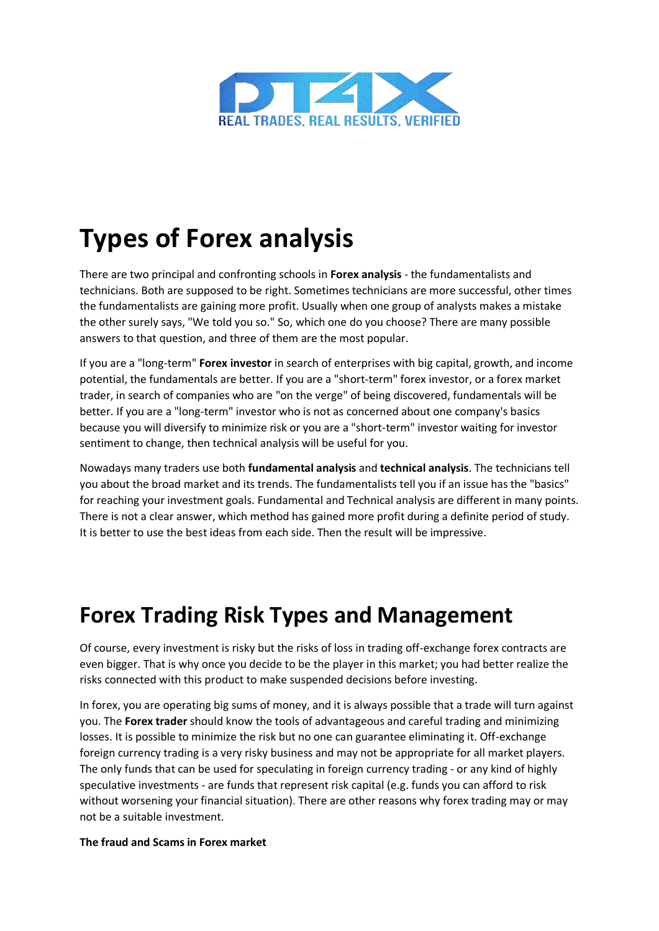

# **Types of Forex analysis**

There are two principal and confronting schools in **Forex analysis** - the fundamentalists and technicians. Both are supposed to be right. Sometimes technicians are more successful, other times the fundamentalists are gaining more profit. Usually when one group of analysts makes a mistake the other surely says, "We told you so." So, which one do you choose? There are many possible answers to that question, and three of them are the most popular.

If you are a "long-term" **Forex investor** in search of enterprises with big capital, growth, and income potential, the fundamentals are better. If you are a "short-term" forex investor, or a forex market trader, in search of companies who are "on the verge" of being discovered, fundamentals will be better. If you are a "long-term" investor who is not as concerned about one company's basics because you will diversify to minimize risk or you are a "short-term" investor waiting for investor sentiment to change, then technical analysis will be useful for you.

Nowadays many traders use both **fundamental analysis** and **technical analysis**. The technicians tell you about the broad market and its trends. The fundamentalists tell you if an issue has the "basics" for reaching your investment goals. Fundamental and Technical analysis are different in many points. There is not a clear answer, which method has gained more profit during a definite period of study. It is better to use the best ideas from each side. Then the result will be impressive.

## **Forex Trading Risk Types and Management**

Of course, every investment is risky but the risks of loss in trading off-exchange forex contracts are even bigger. That is why once you decide to be the player in this market; you had better realize the risks connected with this product to make suspended decisions before investing.

In forex, you are operating big sums of money, and it is always possible that a trade will turn against you. The **Forex trader** should know the tools of advantageous and careful trading and minimizing losses. It is possible to minimize the risk but no one can guarantee eliminating it. Off-exchange foreign currency trading is a very risky business and may not be appropriate for all market players. The only funds that can be used for speculating in foreign currency trading - or any kind of highly speculative investments - are funds that represent risk capital (e.g. funds you can afford to risk without worsening your financial situation). There are other reasons why forex trading may or may not be a suitable investment.

#### **The fraud and Scams in Forex market**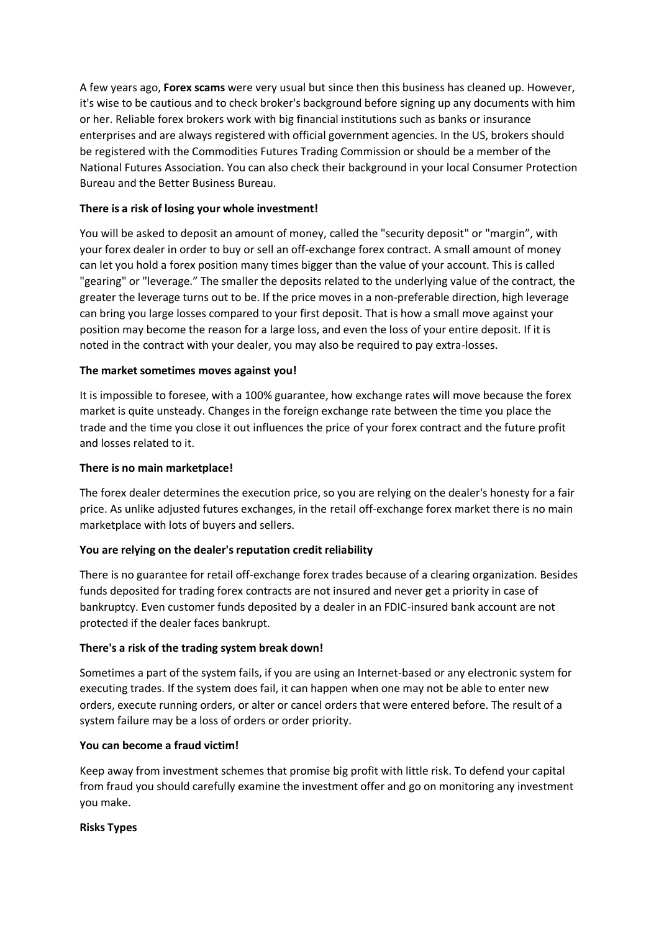A few years ago, **Forex scams** were very usual but since then this business has cleaned up. However, it's wise to be cautious and to check broker's background before signing up any documents with him or her. Reliable forex brokers work with big financial institutions such as banks or insurance enterprises and are always registered with official government agencies. In the US, brokers should be registered with the Commodities Futures Trading Commission or should be a member of the National Futures Association. You can also check their background in your local Consumer Protection Bureau and the Better Business Bureau.

### **There is a risk of losing your whole investment!**

You will be asked to deposit an amount of money, called the "security deposit" or "margin", with your forex dealer in order to buy or sell an off-exchange forex contract. A small amount of money can let you hold a forex position many times bigger than the value of your account. This is called "gearing" or "leverage." The smaller the deposits related to the underlying value of the contract, the greater the leverage turns out to be. If the price moves in a non-preferable direction, high leverage can bring you large losses compared to your first deposit. That is how a small move against your position may become the reason for a large loss, and even the loss of your entire deposit. If it is noted in the contract with your dealer, you may also be required to pay extra-losses.

#### **The market sometimes moves against you!**

It is impossible to foresee, with a 100% guarantee, how exchange rates will move because the forex market is quite unsteady. Changes in the foreign exchange rate between the time you place the trade and the time you close it out influences the price of your forex contract and the future profit and losses related to it.

#### **There is no main marketplace!**

The forex dealer determines the execution price, so you are relying on the dealer's honesty for a fair price. As unlike adjusted futures exchanges, in the retail off-exchange forex market there is no main marketplace with lots of buyers and sellers.

#### **You are relying on the dealer's reputation credit reliability**

There is no guarantee for retail off-exchange forex trades because of a clearing organization. Besides funds deposited for trading forex contracts are not insured and never get a priority in case of bankruptcy. Even customer funds deposited by a dealer in an FDIC-insured bank account are not protected if the dealer faces bankrupt.

#### **There's a risk of the trading system break down!**

Sometimes a part of the system fails, if you are using an Internet-based or any electronic system for executing trades. If the system does fail, it can happen when one may not be able to enter new orders, execute running orders, or alter or cancel orders that were entered before. The result of a system failure may be a loss of orders or order priority.

#### **You can become a fraud victim!**

Keep away from investment schemes that promise big profit with little risk. To defend your capital from fraud you should carefully examine the investment offer and go on monitoring any investment you make.

#### **Risks Types**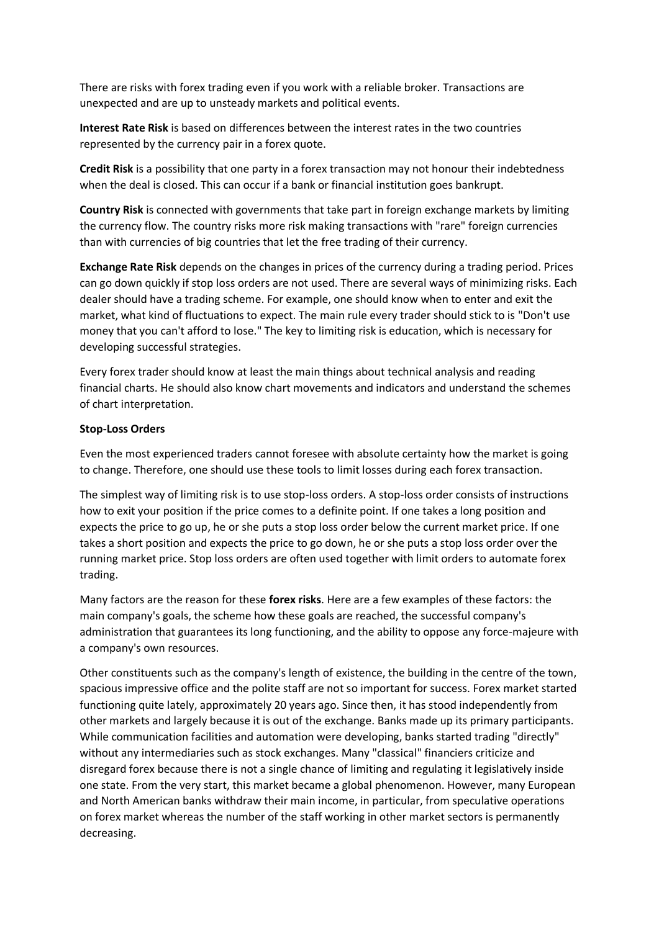There are risks with forex trading even if you work with a reliable broker. Transactions are unexpected and are up to unsteady markets and political events.

**Interest Rate Risk** is based on differences between the interest rates in the two countries represented by the currency pair in a forex quote.

**Credit Risk** is a possibility that one party in a forex transaction may not honour their indebtedness when the deal is closed. This can occur if a bank or financial institution goes bankrupt.

**Country Risk** is connected with governments that take part in foreign exchange markets by limiting the currency flow. The country risks more risk making transactions with "rare" foreign currencies than with currencies of big countries that let the free trading of their currency.

**Exchange Rate Risk** depends on the changes in prices of the currency during a trading period. Prices can go down quickly if stop loss orders are not used. There are several ways of minimizing risks. Each dealer should have a trading scheme. For example, one should know when to enter and exit the market, what kind of fluctuations to expect. The main rule every trader should stick to is "Don't use money that you can't afford to lose." The key to limiting risk is education, which is necessary for developing successful strategies.

Every forex trader should know at least the main things about technical analysis and reading financial charts. He should also know chart movements and indicators and understand the schemes of chart interpretation.

#### **Stop-Loss Orders**

Even the most experienced traders cannot foresee with absolute certainty how the market is going to change. Therefore, one should use these tools to limit losses during each forex transaction.

The simplest way of limiting risk is to use stop-loss orders. A stop-loss order consists of instructions how to exit your position if the price comes to a definite point. If one takes a long position and expects the price to go up, he or she puts a stop loss order below the current market price. If one takes a short position and expects the price to go down, he or she puts a stop loss order over the running market price. Stop loss orders are often used together with limit orders to automate forex trading.

Many factors are the reason for these **forex risks**. Here are a few examples of these factors: the main company's goals, the scheme how these goals are reached, the successful company's administration that guarantees its long functioning, and the ability to oppose any force-majeure with a company's own resources.

Other constituents such as the company's length of existence, the building in the centre of the town, spacious impressive office and the polite staff are not so important for success. Forex market started functioning quite lately, approximately 20 years ago. Since then, it has stood independently from other markets and largely because it is out of the exchange. Banks made up its primary participants. While communication facilities and automation were developing, banks started trading "directly" without any intermediaries such as stock exchanges. Many "classical" financiers criticize and disregard forex because there is not a single chance of limiting and regulating it legislatively inside one state. From the very start, this market became a global phenomenon. However, many European and North American banks withdraw their main income, in particular, from speculative operations on forex market whereas the number of the staff working in other market sectors is permanently decreasing.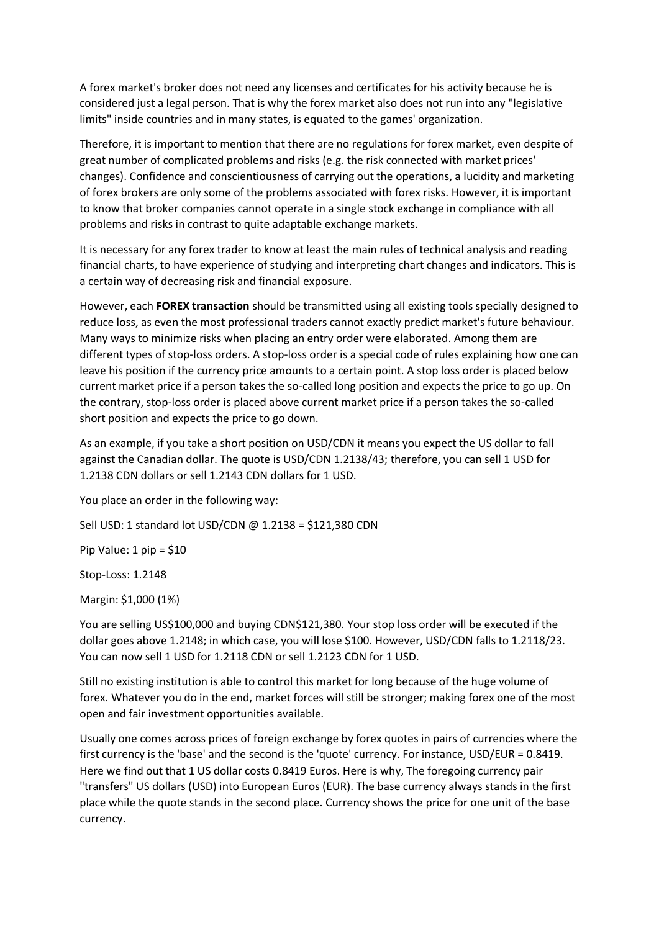A forex market's broker does not need any licenses and certificates for his activity because he is considered just a legal person. That is why the forex market also does not run into any "legislative limits" inside countries and in many states, is equated to the games' organization.

Therefore, it is important to mention that there are no regulations for forex market, even despite of great number of complicated problems and risks (e.g. the risk connected with market prices' changes). Confidence and conscientiousness of carrying out the operations, a lucidity and marketing of forex brokers are only some of the problems associated with forex risks. However, it is important to know that broker companies cannot operate in a single stock exchange in compliance with all problems and risks in contrast to quite adaptable exchange markets.

It is necessary for any forex trader to know at least the main rules of technical analysis and reading financial charts, to have experience of studying and interpreting chart changes and indicators. This is a certain way of decreasing risk and financial exposure.

However, each **FOREX transaction** should be transmitted using all existing tools specially designed to reduce loss, as even the most professional traders cannot exactly predict market's future behaviour. Many ways to minimize risks when placing an entry order were elaborated. Among them are different types of stop-loss orders. A stop-loss order is a special code of rules explaining how one can leave his position if the currency price amounts to a certain point. A stop loss order is placed below current market price if a person takes the so-called long position and expects the price to go up. On the contrary, stop-loss order is placed above current market price if a person takes the so-called short position and expects the price to go down.

As an example, if you take a short position on USD/CDN it means you expect the US dollar to fall against the Canadian dollar. The quote is USD/CDN 1.2138/43; therefore, you can sell 1 USD for 1.2138 CDN dollars or sell 1.2143 CDN dollars for 1 USD.

You place an order in the following way:

Sell USD: 1 standard lot USD/CDN @ 1.2138 = \$121,380 CDN

Pip Value: 1 pip = \$10

Stop-Loss: 1.2148

Margin: \$1,000 (1%)

You are selling US\$100,000 and buying CDN\$121,380. Your stop loss order will be executed if the dollar goes above 1.2148; in which case, you will lose \$100. However, USD/CDN falls to 1.2118/23. You can now sell 1 USD for 1.2118 CDN or sell 1.2123 CDN for 1 USD.

Still no existing institution is able to control this market for long because of the huge volume of forex. Whatever you do in the end, market forces will still be stronger; making forex one of the most open and fair investment opportunities available.

Usually one comes across prices of foreign exchange by forex quotes in pairs of currencies where the first currency is the 'base' and the second is the 'quote' currency. For instance, USD/EUR = 0.8419. Here we find out that 1 US dollar costs 0.8419 Euros. Here is why, The foregoing currency pair "transfers" US dollars (USD) into European Euros (EUR). The base currency always stands in the first place while the quote stands in the second place. Currency shows the price for one unit of the base currency.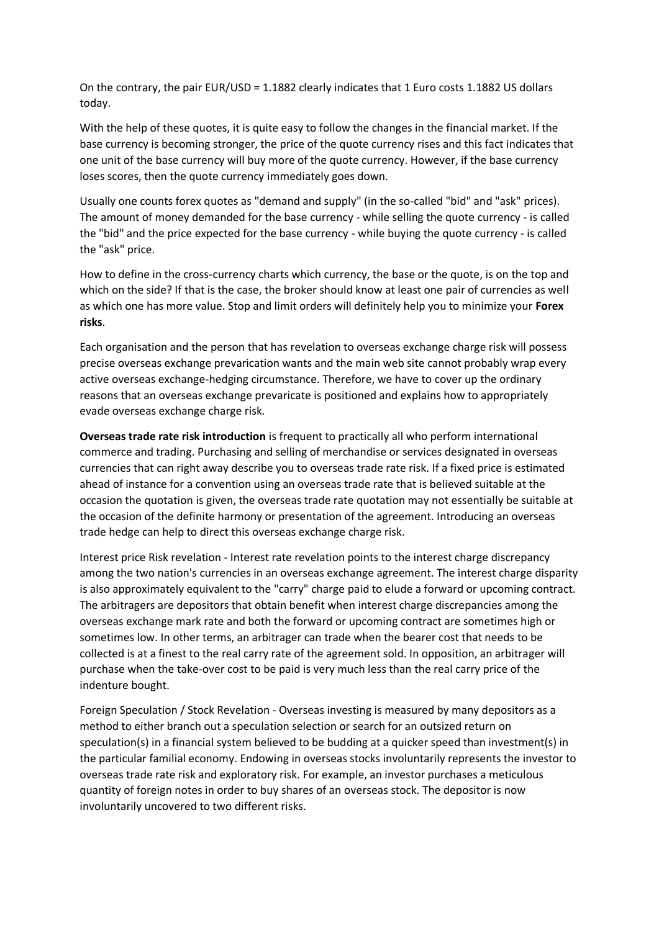On the contrary, the pair EUR/USD = 1.1882 clearly indicates that 1 Euro costs 1.1882 US dollars today.

With the help of these quotes, it is quite easy to follow the changes in the financial market. If the base currency is becoming stronger, the price of the quote currency rises and this fact indicates that one unit of the base currency will buy more of the quote currency. However, if the base currency loses scores, then the quote currency immediately goes down.

Usually one counts forex quotes as "demand and supply" (in the so-called "bid" and "ask" prices). The amount of money demanded for the base currency - while selling the quote currency - is called the "bid" and the price expected for the base currency - while buying the quote currency - is called the "ask" price.

How to define in the cross-currency charts which currency, the base or the quote, is on the top and which on the side? If that is the case, the broker should know at least one pair of currencies as well as which one has more value. Stop and limit orders will definitely help you to minimize your **Forex risks**.

Each organisation and the person that has revelation to overseas exchange charge risk will possess precise overseas exchange prevarication wants and the main web site cannot probably wrap every active overseas exchange-hedging circumstance. Therefore, we have to cover up the ordinary reasons that an overseas exchange prevaricate is positioned and explains how to appropriately evade overseas exchange charge risk.

**Overseas trade rate risk introduction** is frequent to practically all who perform international commerce and trading. Purchasing and selling of merchandise or services designated in overseas currencies that can right away describe you to overseas trade rate risk. If a fixed price is estimated ahead of instance for a convention using an overseas trade rate that is believed suitable at the occasion the quotation is given, the overseas trade rate quotation may not essentially be suitable at the occasion of the definite harmony or presentation of the agreement. Introducing an overseas trade hedge can help to direct this overseas exchange charge risk.

Interest price Risk revelation - Interest rate revelation points to the interest charge discrepancy among the two nation's currencies in an overseas exchange agreement. The interest charge disparity is also approximately equivalent to the "carry" charge paid to elude a forward or upcoming contract. The arbitragers are depositors that obtain benefit when interest charge discrepancies among the overseas exchange mark rate and both the forward or upcoming contract are sometimes high or sometimes low. In other terms, an arbitrager can trade when the bearer cost that needs to be collected is at a finest to the real carry rate of the agreement sold. In opposition, an arbitrager will purchase when the take-over cost to be paid is very much less than the real carry price of the indenture bought.

Foreign Speculation / Stock Revelation - Overseas investing is measured by many depositors as a method to either branch out a speculation selection or search for an outsized return on speculation(s) in a financial system believed to be budding at a quicker speed than investment(s) in the particular familial economy. Endowing in overseas stocks involuntarily represents the investor to overseas trade rate risk and exploratory risk. For example, an investor purchases a meticulous quantity of foreign notes in order to buy shares of an overseas stock. The depositor is now involuntarily uncovered to two different risks.